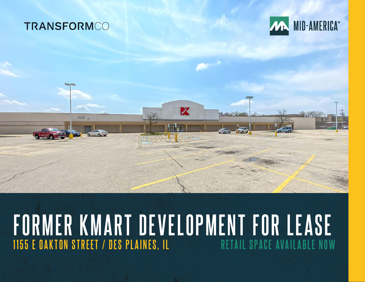### **TRANSFORMCO**

 $-1$ 



### **FORMER KMART DEVELOPMENT FOR LEASE 1155 E OAKTON STREET / DES PLAINES, IL**

**Mark**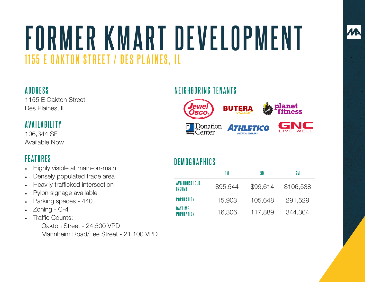# **FORMER KMART DEVELOPMENT 1155 E OAKTON STREET / DES PLAINES, IL**

#### **ADDRESS**

1155 E Oakton Street Des Plaines, IL

#### **AVAILABILITY**

106,344 SF Available Now

#### **FEATURES**

- Highly visible at main-on-main
- Densely populated trade area
- Heavily trafficked intersection
- Pylon signage available
- Parking spaces 440
- Zoning C-4
- Traffic Counts:

Oakton Street - 24,500 VPD Mannheim Road/Lee Street - 21,100 VPD

#### **NEIGHBORING TENANTS**



#### **DEMOGRAPHICS**

|                         | 1 M      | 3 M      | 5 M       |
|-------------------------|----------|----------|-----------|
| AVG HOUSEHOLD<br>INCOME | \$95,544 | \$99,614 | \$106,538 |
| POPULATION              | 15,903   | 105,648  | 291,529   |
| DAYTIME<br>POPULATION   | 16,306   | 117,889  | 344,304   |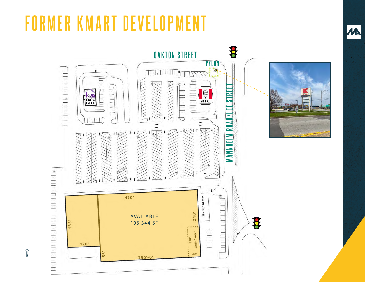### **FORMER KMART DEVELOPMENT**

**N**

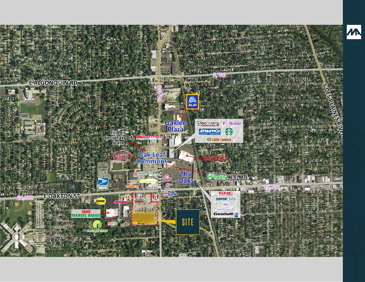